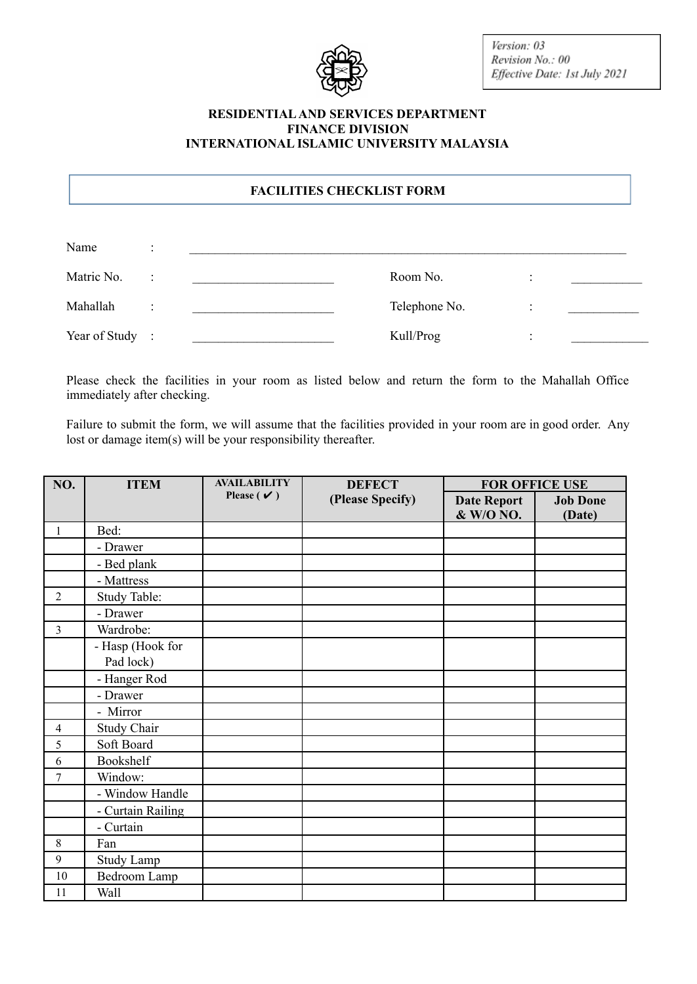

Version: 03 Revision No.: 00 Effective Date: 1st July 2021

## **RESIDENTIALAND SERVICES DEPARTMENT FINANCE DIVISION INTERNATIONAL ISLAMIC UNIVERSITY MALAYSIA**

## **FACILITIES CHECKLIST FORM**

| Name            |  |               |           |  |
|-----------------|--|---------------|-----------|--|
| Matric No.      |  | Room No.      | $\bullet$ |  |
| Mahallah        |  | Telephone No. | ٠         |  |
| Year of Study : |  | Kull/Prog     | ٠         |  |

Please check the facilities in your room as listed below and return the form to the Mahallah Office immediately after checking.

Failure to submit the form, we will assume that the facilities provided in your room are in good order. Any lost or damage item(s) will be your responsibility thereafter.

| NO.            | <b>ITEM</b>        | <b>AVAILABILITY</b>             | <b>DEFECT</b>    | <b>FOR OFFICE USE</b> |                 |
|----------------|--------------------|---------------------------------|------------------|-----------------------|-----------------|
|                |                    | Please ( $\check{\mathbf{v}}$ ) | (Please Specify) | <b>Date Report</b>    | <b>Job Done</b> |
|                |                    |                                 |                  | & W/O NO.             | (Date)          |
| $\mathbf{1}$   | Bed:               |                                 |                  |                       |                 |
|                | - Drawer           |                                 |                  |                       |                 |
|                | - Bed plank        |                                 |                  |                       |                 |
|                | - Mattress         |                                 |                  |                       |                 |
| $\overline{2}$ | Study Table:       |                                 |                  |                       |                 |
|                | - Drawer           |                                 |                  |                       |                 |
| $\overline{3}$ | Wardrobe:          |                                 |                  |                       |                 |
|                | - Hasp (Hook for   |                                 |                  |                       |                 |
|                | Pad lock)          |                                 |                  |                       |                 |
|                | - Hanger Rod       |                                 |                  |                       |                 |
|                | - Drawer           |                                 |                  |                       |                 |
|                | - Mirror           |                                 |                  |                       |                 |
| $\overline{4}$ | <b>Study Chair</b> |                                 |                  |                       |                 |
| 5              | Soft Board         |                                 |                  |                       |                 |
| 6              | Bookshelf          |                                 |                  |                       |                 |
| 7              | Window:            |                                 |                  |                       |                 |
|                | - Window Handle    |                                 |                  |                       |                 |
|                | - Curtain Railing  |                                 |                  |                       |                 |
|                | - Curtain          |                                 |                  |                       |                 |
| $8\,$          | Fan                |                                 |                  |                       |                 |
| 9              | <b>Study Lamp</b>  |                                 |                  |                       |                 |
| 10             | Bedroom Lamp       |                                 |                  |                       |                 |
| 11             | Wall               |                                 |                  |                       |                 |